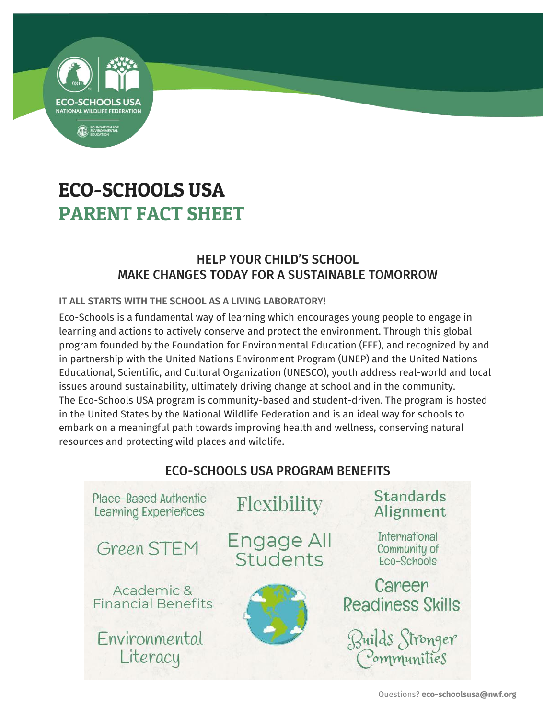

# ECO-SCHOOLS USA PARENT FACT SHEET

## HELP YOUR CHILD'S SCHOOL MAKE CHANGES TODAY FOR A SUSTAINABLE TOMORROW

### IT ALL STARTS WITH THE SCHOOL AS A LIVING LABORATORY!

Eco-Schools is a fundamental way of learning which encourages young people to engage in learning and actions to actively conserve and protect the environment. Through this global program founded by the Foundation for Environmental Education (FEE), and recognized by and in partnership with the United Nations Environment Program (UNEP) and the United Nations Educational, Scientific, and Cultural Organization (UNESCO), youth address real-world and local issues around sustainability, ultimately driving change at school and in the community. The Eco-Schools USA program is community-based and student-driven. The program is hosted in the United States by the National Wildlife Federation and is an ideal way for schools to embark on a meaningful path towards improving health and wellness, conserving natural resources and protecting wild places and wildlife.



### ECO-SCHOOLS USA PROGRAM BENEFITS